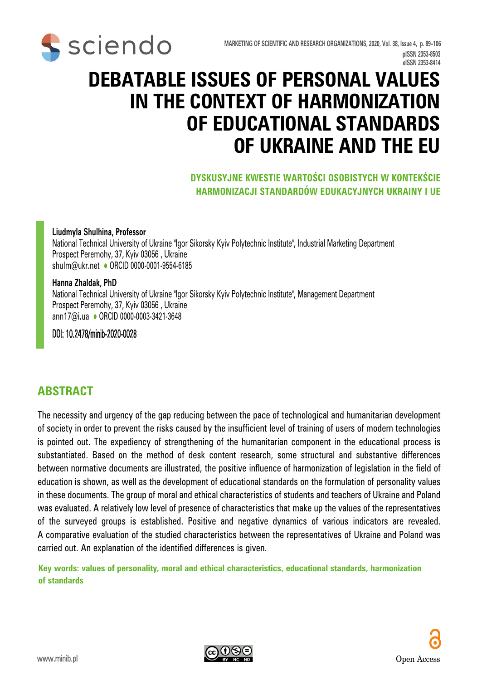

# **DEBATABLE ISSUES OF PERSONAL VALUES IN THE CONTEXT OF HARMONIZATION OF EDUCATIONAL STANDARDS OF UKRAINE AND THE EU**

#### **DYSKUSYJNE KWESTIE WARTOŚCI OSOBISTYCH W KONTEKŚCIE HARMONIZACJI STANDARDÓW EDUKACYJNYCH UKRAINY I UE**

#### **Liudmyla Shulhina, Professor**

National Technical University of Ukraine "Igor Sikorsky Kyiv Polytechnic Institute", Industrial Marketing Department Prospect Peremohy, 37, Kyiv 03056 , Ukraine shulm@ukr.net • ORCID 0000-0001-9554-6185

#### **Hanna Zhaldak, PhD**

National Technical University of Ukraine "Igor Sikorsky Kyiv Polytechnic Institute", Management Department Prospect Peremohy, 37, Kyiv 03056 , Ukraine ann17@i.ua · ORCID 0000-0003-3421-3648

DOI: 10.2478/minib-2020-0028

#### **ABSTRACT**

The necessity and urgency of the gap reducing between the pace of technological and humanitarian development of society in order to prevent the risks caused by the insufficient level of training of users of modern technologies is pointed out. The expediency of strengthening of the humanitarian component in the educational process is substantiated. Based on the method of desk content research, some structural and substantive differences between normative documents are illustrated, the positive influence of harmonization of legislation in the field of education is shown, as well as the development of educational standards on the formulation of personality values in these documents. The group of moral and ethical characteristics of students and teachers of Ukraine and Poland was evaluated. A relatively low level of presence of characteristics that make up the values of the representatives of the surveyed groups is established. Positive and negative dynamics of various indicators are revealed. A comparative evaluation of the studied characteristics between the representatives of Ukraine and Poland was carried out. An explanation of the identified differences is given.

**Key words: values of personality, moral and ethical characteristics, educational standards, harmonization of standards**

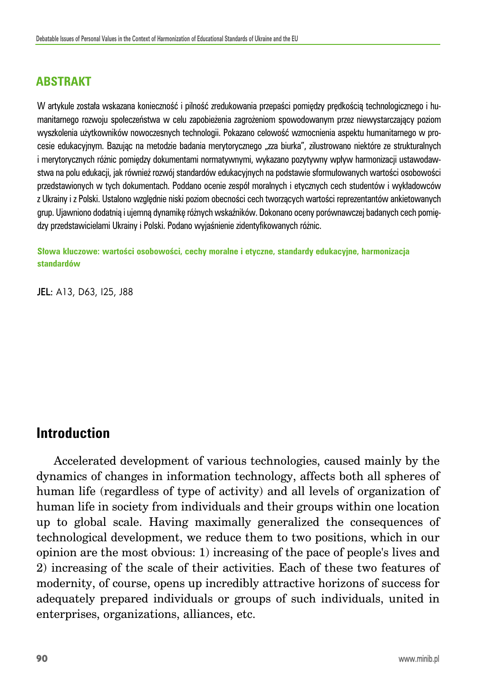### **ABSTRAKT**

W artykule została wskazana konieczność i pilność zredukowania przepaści pomiędzy prędkością technologicznego i humanitarnego rozwoju społeczeństwa w celu zapobieżenia zagrożeniom spowodowanym przez niewystarczający poziom wyszkolenia użytkowników nowoczesnych technologii. Pokazano celowość wzmocnienia aspektu humanitarnego w procesie edukacyjnym. Bazując na metodzie badania merytorycznego "zza biurka", zilustrowano niektóre ze strukturalnych i merytorycznych różnic pomiędzy dokumentami normatywnymi, wykazano pozytywny wpływ harmonizacji ustawodawstwa na polu edukacji, jak również rozwój standardów edukacyjnych na podstawie sformułowanych wartości osobowości przedstawionych w tych dokumentach. Poddano ocenie zespół moralnych i etycznych cech studentów i wykładowców z Ukrainy i z Polski. Ustalono względnie niski poziom obecności cech tworzących wartości reprezentantów ankietowanych grup. Ujawniono dodatnią i ujemną dynamikę różnych wskaźników. Dokonano oceny porównawczej badanych cech pomiędzy przedstawicielami Ukrainy i Polski. Podano wyjaśnienie zidentyfikowanych różnic.

**Słowa kluczowe: wartości osobowości, cechy moralne i etyczne, standardy edukacyjne, harmonizacja standardów**

JEL: A13, D63, I25, J88

### **Introduction**

Accelerated development of various technologies, caused mainly by the dynamics of changes in information technology, affects both all spheres of human life (regardless of type of activity) and all levels of organization of human life in society from individuals and their groups within one location up to global scale. Having maximally generalized the consequences of technological development, we reduce them to two positions, which in our opinion are the most obvious: 1) increasing of the pace of people's lives and 2) increasing of the scale of their activities. Each of these two features of modernity, of course, opens up incredibly attractive horizons of success for adequately prepared individuals or groups of such individuals, united in enterprises, organizations, alliances, etc.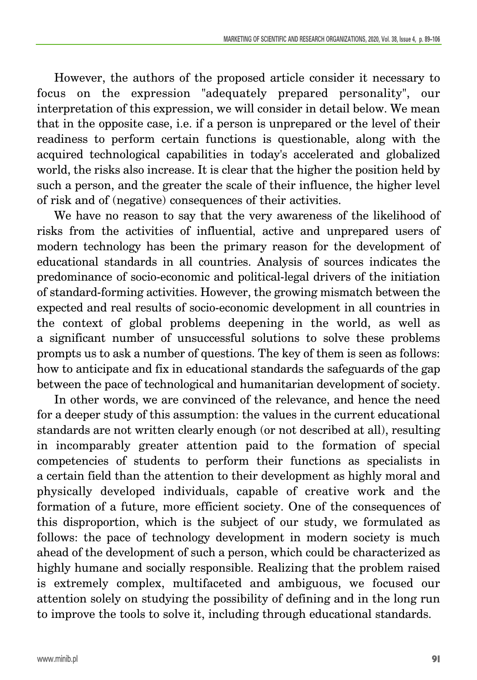However, the authors of the proposed article consider it necessary to focus on the expression "adequately prepared personality", our interpretation of this expression, we will consider in detail below. We mean that in the opposite case, i.e. if a person is unprepared or the level of their readiness to perform certain functions is questionable, along with the acquired technological capabilities in today's accelerated and globalized world, the risks also increase. It is clear that the higher the position held by such a person, and the greater the scale of their influence, the higher level of risk and of (negative) consequences of their activities.

We have no reason to say that the very awareness of the likelihood of risks from the activities of influential, active and unprepared users of modern technology has been the primary reason for the development of educational standards in all countries. Analysis of sources indicates the predominance of socio-economic and political-legal drivers of the initiation of standard-forming activities. However, the growing mismatch between the expected and real results of socio-economic development in all countries in the context of global problems deepening in the world, as well as a significant number of unsuccessful solutions to solve these problems prompts us to ask a number of questions. The key of them is seen as follows: how to anticipate and fix in educational standards the safeguards of the gap between the pace of technological and humanitarian development of society.

In other words, we are convinced of the relevance, and hence the need for a deeper study of this assumption: the values in the current educational standards are not written clearly enough (or not described at all), resulting in incomparably greater attention paid to the formation of special competencies of students to perform their functions as specialists in a certain field than the attention to their development as highly moral and physically developed individuals, capable of creative work and the formation of a future, more efficient society. One of the consequences of this disproportion, which is the subject of our study, we formulated as follows: the pace of technology development in modern society is much ahead of the development of such a person, which could be characterized as highly humane and socially responsible. Realizing that the problem raised is extremely complex, multifaceted and ambiguous, we focused our attention solely on studying the possibility of defining and in the long run to improve the tools to solve it, including through educational standards.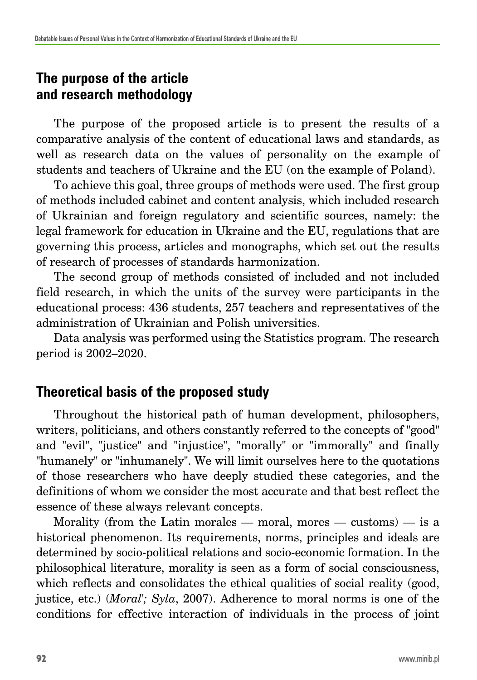# **The purpose of the article and research methodology**

The purpose of the proposed article is to present the results of a comparative analysis of the content of educational laws and standards, as well as research data on the values of personality on the example of students and teachers of Ukraine and the EU (on the example of Poland).

To achieve this goal, three groups of methods were used. The first group of methods included cabinet and content analysis, which included research of Ukrainian and foreign regulatory and scientific sources, namely: the legal framework for education in Ukraine and the EU, regulations that are governing this process, articles and monographs, which set out the results of research of processes of standards harmonization.

The second group of methods consisted of included and not included field research, in which the units of the survey were participants in the educational process: 436 students, 257 teachers and representatives of the administration of Ukrainian and Polish universities.

Data analysis was performed using the Statistics program. The research period is 2002–2020.

# **Theoretical basis of the proposed study**

Throughout the historical path of human development, philosophers, writers, politicians, and others constantly referred to the concepts of "good" and "evil", "justice" and "injustice", "morally" or "immorally" and finally "humanely" or "inhumanely". We will limit ourselves here to the quotations of those researchers who have deeply studied these categories, and the definitions of whom we consider the most accurate and that best reflect the essence of these always relevant concepts.

Morality (from the Latin morales — moral, mores — customs) — is a historical phenomenon. Its requirements, norms, principles and ideals are determined by socio-political relations and socio-economic formation. In the philosophical literature, morality is seen as a form of social consciousness, which reflects and consolidates the ethical qualities of social reality (good, justice, etc.) (*Moral'; Syla*, 2007). Adherence to moral norms is one of the conditions for effective interaction of individuals in the process of joint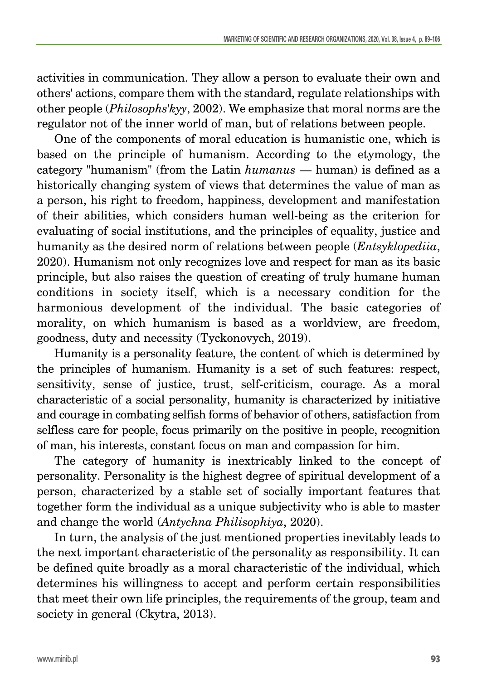activities in communication. They allow a person to evaluate their own and others' actions, compare them with the standard, regulate relationships with other people (*Philosophs'kyy*, 2002). We emphasize that moral norms are the regulator not of the inner world of man, but of relations between people.

One of the components of moral education is humanistic one, which is based on the principle of humanism. According to the etymology, the category "humanism" (from the Latin *humanus* — human) is defined as a historically changing system of views that determines the value of man as a person, his right to freedom, happiness, development and manifestation of their abilities, which considers human well-being as the criterion for evaluating of social institutions, and the principles of equality, justice and humanity as the desired norm of relations between people (*Entsyklopediia*, 2020). Humanism not only recognizes love and respect for man as its basic principle, but also raises the question of creating of truly humane human conditions in society itself, which is a necessary condition for the harmonious development of the individual. The basic categories of morality, on which humanism is based as a worldview, are freedom, goodness, duty and necessity (Tyckonovych, 2019).

Humanity is a personality feature, the content of which is determined by the principles of humanism. Humanity is a set of such features: respect, sensitivity, sense of justice, trust, self-criticism, courage. As a moral characteristic of a social personality, humanity is characterized by initiative and courage in combating selfish forms of behavior of others, satisfaction from selfless care for people, focus primarily on the positive in people, recognition of man, his interests, constant focus on man and compassion for him.

The category of humanity is inextricably linked to the concept of personality. Personality is the highest degree of spiritual development of a person, characterized by a stable set of socially important features that together form the individual as a unique subjectivity who is able to master and change the world (*Antychna Philisophiya*, 2020).

In turn, the analysis of the just mentioned properties inevitably leads to the next important characteristic of the personality as responsibility. It can be defined quite broadly as a moral characteristic of the individual, which determines his willingness to accept and perform certain responsibilities that meet their own life principles, the requirements of the group, team and society in general (Ckytra, 2013).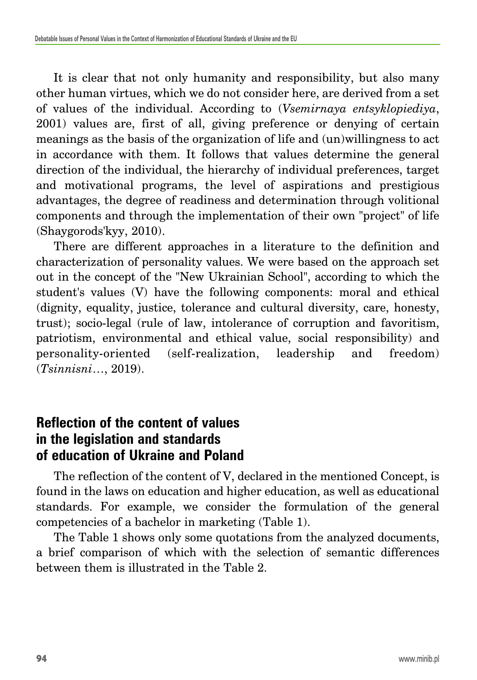It is clear that not only humanity and responsibility, but also many other human virtues, which we do not consider here, are derived from a set of values of the individual. According to (*Vsemirnaya entsyklopiediya*, 2001) values are, first of all, giving preference or denying of certain meanings as the basis of the organization of life and (un)willingness to act in accordance with them. It follows that values determine the general direction of the individual, the hierarchy of individual preferences, target and motivational programs, the level of aspirations and prestigious advantages, the degree of readiness and determination through volitional components and through the implementation of their own "project" of life (Shaygorods'kyy, 2010).

There are different approaches in a literature to the definition and characterization of personality values. We were based on the approach set out in the concept of the "New Ukrainian School", according to which the student's values (V) have the following components: moral and ethical (dignity, equality, justice, tolerance and cultural diversity, care, honesty, trust); socio-legal (rule of law, intolerance of corruption and favoritism, patriotism, environmental and ethical value, social responsibility) and personality-oriented (self-realization, leadership and freedom) (*Tsinnisni*…, 2019).

# **Reflection of the content of values in the legislation and standards of education of Ukraine and Poland**

The reflection of the content of V, declared in the mentioned Concept, is found in the laws on education and higher education, as well as educational standards. For example, we consider the formulation of the general competencies of a bachelor in marketing (Table 1).

The Table 1 shows only some quotations from the analyzed documents, a brief comparison of which with the selection of semantic differences between them is illustrated in the Table 2.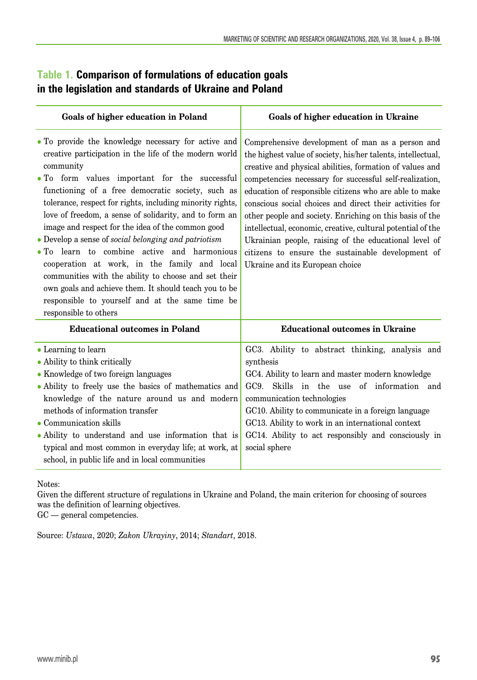#### **Table 1. Comparison of formulations of education goals in the legislation and standards of Ukraine and Poland**

| Goals of higher education in Poland                                                                                                                                                                                                                                                                                                                                                                                                                                                                                                                                                                                                                                                                                                                              | Goals of higher education in Ukraine                                                                                                                                                                                                                                                                                                                                                                                                                                                                                                                                                                                                      |  |  |  |  |  |  |
|------------------------------------------------------------------------------------------------------------------------------------------------------------------------------------------------------------------------------------------------------------------------------------------------------------------------------------------------------------------------------------------------------------------------------------------------------------------------------------------------------------------------------------------------------------------------------------------------------------------------------------------------------------------------------------------------------------------------------------------------------------------|-------------------------------------------------------------------------------------------------------------------------------------------------------------------------------------------------------------------------------------------------------------------------------------------------------------------------------------------------------------------------------------------------------------------------------------------------------------------------------------------------------------------------------------------------------------------------------------------------------------------------------------------|--|--|--|--|--|--|
| • To provide the knowledge necessary for active and<br>creative participation in the life of the modern world<br>community<br>. To form values important for the successful<br>functioning of a free democratic society, such as<br>tolerance, respect for rights, including minority rights,<br>love of freedom, a sense of solidarity, and to form an<br>image and respect for the idea of the common good<br>• Develop a sense of social belonging and patriotism<br>• To learn to combine active and harmonious<br>cooperation at work, in the family and local<br>communities with the ability to choose and set their<br>own goals and achieve them. It should teach you to be<br>responsible to yourself and at the same time be<br>responsible to others | Comprehensive development of man as a person and<br>the highest value of society, his/her talents, intellectual,<br>creative and physical abilities, formation of values and<br>competencies necessary for successful self-realization,<br>education of responsible citizens who are able to make<br>conscious social choices and direct their activities for<br>other people and society. Enriching on this basis of the<br>intellectual, economic, creative, cultural potential of the<br>Ukrainian people, raising of the educational level of<br>citizens to ensure the sustainable development of<br>Ukraine and its European choice |  |  |  |  |  |  |
| <b>Educational outcomes in Poland</b>                                                                                                                                                                                                                                                                                                                                                                                                                                                                                                                                                                                                                                                                                                                            | <b>Educational outcomes in Ukraine</b>                                                                                                                                                                                                                                                                                                                                                                                                                                                                                                                                                                                                    |  |  |  |  |  |  |
| • Learning to learn<br>• Ability to think critically<br>• Knowledge of two foreign languages<br>• Ability to freely use the basics of mathematics and<br>knowledge of the nature around us and modern<br>methods of information transfer<br>$\bullet$ Communication skills<br>• Ability to understand and use information that is<br>typical and most common in everyday life; at work, at<br>school, in public life and in local communities                                                                                                                                                                                                                                                                                                                    | GC3. Ability to abstract thinking, analysis and<br>synthesis<br>GC4. Ability to learn and master modern knowledge<br>GC9. Skills in the use of information and<br>communication technologies<br>GC10. Ability to communicate in a foreign language<br>GC13. Ability to work in an international context<br>GC14. Ability to act responsibly and consciously in<br>social sphere                                                                                                                                                                                                                                                           |  |  |  |  |  |  |

Notes:

Given the different structure of regulations in Ukraine and Poland, the main criterion for choosing of sources was the definition of learning objectives.

GC — general competencies.

Source: *Ustawa*, 2020; *Zakon Ukrayiny*, 2014; *Standart*, 2018.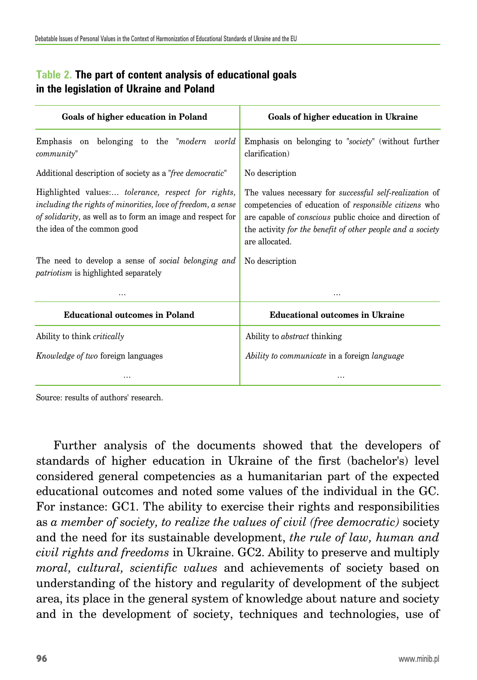| Goals of higher education in Poland                                                                                                                                                                             | Goals of higher education in Ukraine                                                                                                                                                                                                                                             |  |  |  |  |  |
|-----------------------------------------------------------------------------------------------------------------------------------------------------------------------------------------------------------------|----------------------------------------------------------------------------------------------------------------------------------------------------------------------------------------------------------------------------------------------------------------------------------|--|--|--|--|--|
| Emphasis on belonging to the " <i>modern world</i> "<br>community"                                                                                                                                              | Emphasis on belonging to "society" (without further<br>clarification)                                                                                                                                                                                                            |  |  |  |  |  |
| Additional description of society as a " <i>free democratic</i> "                                                                                                                                               | No description                                                                                                                                                                                                                                                                   |  |  |  |  |  |
| Highlighted values: tolerance, respect for rights,<br>including the rights of minorities, love of freedom, a sense<br>of solidarity, as well as to form an image and respect for<br>the idea of the common good | The values necessary for <i>successful self-realization</i> of<br>competencies of education of <i>responsible citizens</i> who<br>are capable of <i>conscious</i> public choice and direction of<br>the activity for the benefit of other people and a society<br>are allocated. |  |  |  |  |  |
| The need to develop a sense of social belonging and<br><i>patriotism</i> is highlighted separately                                                                                                              | No description                                                                                                                                                                                                                                                                   |  |  |  |  |  |
|                                                                                                                                                                                                                 | .                                                                                                                                                                                                                                                                                |  |  |  |  |  |
| <b>Educational outcomes in Poland</b>                                                                                                                                                                           | <b>Educational outcomes in Ukraine</b>                                                                                                                                                                                                                                           |  |  |  |  |  |
| Ability to think <i>critically</i>                                                                                                                                                                              | Ability to <i>abstract</i> thinking                                                                                                                                                                                                                                              |  |  |  |  |  |
| <i>Knowledge of two foreign languages</i>                                                                                                                                                                       | Ability to communicate in a foreign language                                                                                                                                                                                                                                     |  |  |  |  |  |
|                                                                                                                                                                                                                 |                                                                                                                                                                                                                                                                                  |  |  |  |  |  |

#### **Table 2. The part of content analysis of educational goals in the legislation of Ukraine and Poland**

Source: results of authors' research.

Further analysis of the documents showed that the developers of standards of higher education in Ukraine of the first (bachelor's) level considered general competencies as a humanitarian part of the expected educational outcomes and noted some values of the individual in the GC. For instance: GC1. The ability to exercise their rights and responsibilities as *a member of society, to realize the values of civil (free democratic)* society and the need for its sustainable development, *the rule of law, human and civil rights and freedoms* in Ukraine. GC2. Ability to preserve and multiply *moral, cultural, scientific values* and achievements of society based on understanding of the history and regularity of development of the subject area, its place in the general system of knowledge about nature and society and in the development of society, techniques and technologies, use of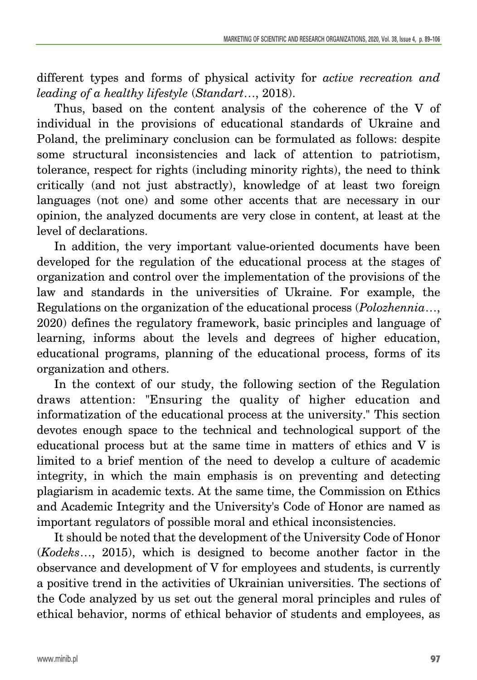different types and forms of physical activity for *active recreation and leading of a healthy lifestyle* (*Standart*…, 2018).

Thus, based on the content analysis of the coherence of the V of individual in the provisions of educational standards of Ukraine and Poland, the preliminary conclusion can be formulated as follows: despite some structural inconsistencies and lack of attention to patriotism, tolerance, respect for rights (including minority rights), the need to think critically (and not just abstractly), knowledge of at least two foreign languages (not one) and some other accents that are necessary in our opinion, the analyzed documents are very close in content, at least at the level of declarations.

In addition, the very important value-oriented documents have been developed for the regulation of the educational process at the stages of organization and control over the implementation of the provisions of the law and standards in the universities of Ukraine. For example, the Regulations on the organization of the educational process (*Polozhennia*…, 2020) defines the regulatory framework, basic principles and language of learning, informs about the levels and degrees of higher education, educational programs, planning of the educational process, forms of its organization and others.

In the context of our study, the following section of the Regulation draws attention: "Ensuring the quality of higher education and informatization of the educational process at the university." This section devotes enough space to the technical and technological support of the educational process but at the same time in matters of ethics and V is limited to a brief mention of the need to develop a culture of academic integrity, in which the main emphasis is on preventing and detecting plagiarism in academic texts. At the same time, the Commission on Ethics and Academic Integrity and the University's Code of Honor are named as important regulators of possible moral and ethical inconsistencies.

It should be noted that the development of the University Code of Honor (*Kodeks*…, 2015), which is designed to become another factor in the observance and development of V for employees and students, is currently a positive trend in the activities of Ukrainian universities. The sections of the Code analyzed by us set out the general moral principles and rules of ethical behavior, norms of ethical behavior of students and employees, as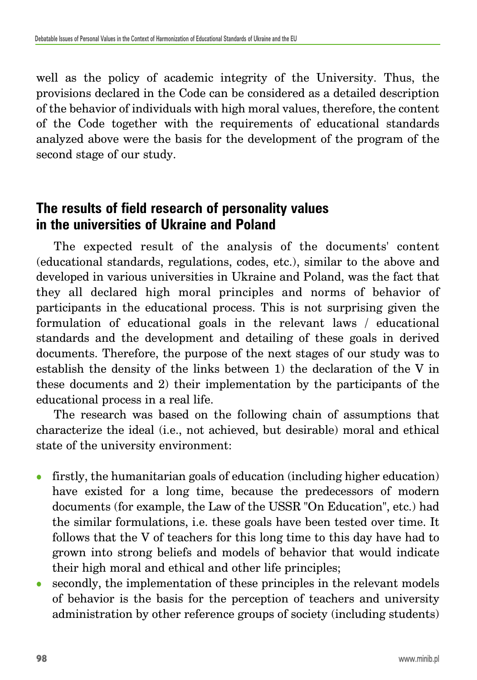well as the policy of academic integrity of the University. Thus, the provisions declared in the Code can be considered as a detailed description of the behavior of individuals with high moral values, therefore, the content of the Code together with the requirements of educational standards analyzed above were the basis for the development of the program of the second stage of our study.

# **The results of field research of personality values in the universities of Ukraine and Poland**

The expected result of the analysis of the documents' content (educational standards, regulations, codes, etc.), similar to the above and developed in various universities in Ukraine and Poland, was the fact that they all declared high moral principles and norms of behavior of participants in the educational process. This is not surprising given the formulation of educational goals in the relevant laws / educational standards and the development and detailing of these goals in derived documents. Therefore, the purpose of the next stages of our study was to establish the density of the links between 1) the declaration of the V in these documents and 2) their implementation by the participants of the educational process in a real life.

The research was based on the following chain of assumptions that characterize the ideal (i.e., not achieved, but desirable) moral and ethical state of the university environment:

- firstly, the humanitarian goals of education (including higher education) have existed for a long time, because the predecessors of modern documents (for example, the Law of the USSR "On Education", etc.) had the similar formulations, i.e. these goals have been tested over time. It follows that the V of teachers for this long time to this day have had to grown into strong beliefs and models of behavior that would indicate their high moral and ethical and other life principles;
- secondly, the implementation of these principles in the relevant models of behavior is the basis for the perception of teachers and university administration by other reference groups of society (including students)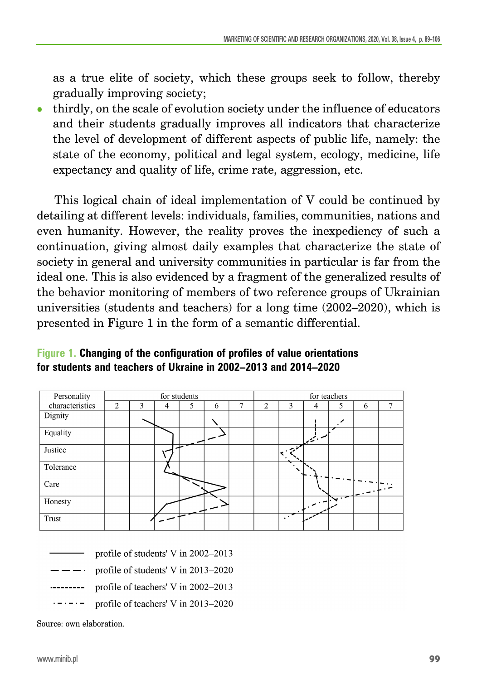as a true elite of society, which these groups seek to follow, thereby gradually improving society;

<sup>z</sup> thirdly, on the scale of evolution society under the influence of educators and their students gradually improves all indicators that characterize the level of development of different aspects of public life, namely: the state of the economy, political and legal system, ecology, medicine, life expectancy and quality of life, crime rate, aggression, etc.

This logical chain of ideal implementation of V could be continued by detailing at different levels: individuals, families, communities, nations and even humanity. However, the reality proves the inexpediency of such a continuation, giving almost daily examples that characterize the state of society in general and university communities in particular is far from the ideal one. This is also evidenced by a fragment of the generalized results of the behavior monitoring of members of two reference groups of Ukrainian universities (students and teachers) for a long time (2002–2020), which is presented in Figure 1 in the form of a semantic differential.

#### **Figure 1. Changing of the configuration of profiles of value orientations for students and teachers of Ukraine in 2002–2013 and 2014–2020**

| Personality     | for students   |   |   |   | for teachers |   |                |   |              |            |   |   |
|-----------------|----------------|---|---|---|--------------|---|----------------|---|--------------|------------|---|---|
| characteristics | $\overline{c}$ | 3 | 4 | 5 | 6            | 7 | $\overline{2}$ | 3 | 4            | 5          | 6 | 7 |
| Dignity         |                |   |   |   |              |   |                |   |              |            |   |   |
| Equality        |                |   |   |   |              |   |                |   | المستبقيتيها |            |   |   |
| Justice         |                |   |   |   |              |   |                |   |              |            |   |   |
| Tolerance       |                |   |   |   |              |   |                |   |              |            |   |   |
| Care            |                |   |   |   |              |   |                |   |              |            |   |   |
| Honesty         |                |   |   |   |              |   |                |   |              | $\sqrt{2}$ |   |   |
| Trust           |                |   |   |   |              |   |                |   |              |            |   |   |

- profile of students' V in 2002–2013
- profile of students' V in 2013-2020
- profile of teachers' V in 2002-2013 . . . . . . . . . .
- profile of teachers' V in 2013-2020

Source: own elaboration.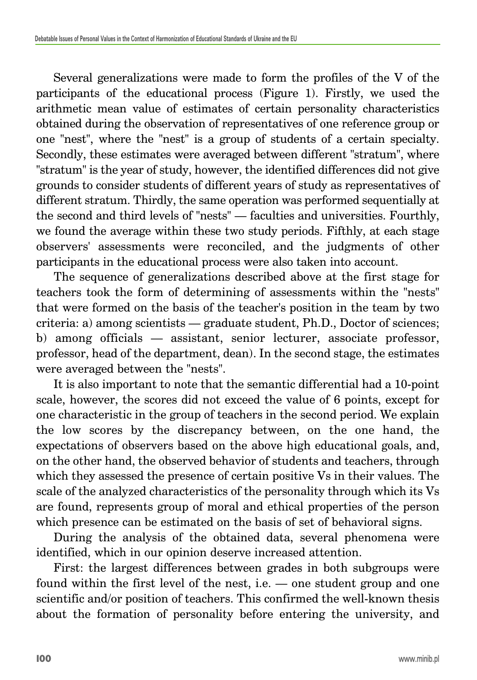Several generalizations were made to form the profiles of the V of the participants of the educational process (Figure 1). Firstly, we used the arithmetic mean value of estimates of certain personality characteristics obtained during the observation of representatives of one reference group or one "nest", where the "nest" is a group of students of a certain specialty. Secondly, these estimates were averaged between different "stratum", where "stratum" is the year of study, however, the identified differences did not give grounds to consider students of different years of study as representatives of different stratum. Thirdly, the same operation was performed sequentially at the second and third levels of "nests" — faculties and universities. Fourthly, we found the average within these two study periods. Fifthly, at each stage observers' assessments were reconciled, and the judgments of other participants in the educational process were also taken into account.

The sequence of generalizations described above at the first stage for teachers took the form of determining of assessments within the "nests" that were formed on the basis of the teacher's position in the team by two criteria: a) among scientists — graduate student, Ph.D., Doctor of sciences; b) among officials — assistant, senior lecturer, associate professor, professor, head of the department, dean). In the second stage, the estimates were averaged between the "nests".

It is also important to note that the semantic differential had a 10-point scale, however, the scores did not exceed the value of 6 points, except for one characteristic in the group of teachers in the second period. We explain the low scores by the discrepancy between, on the one hand, the expectations of observers based on the above high educational goals, and, on the other hand, the observed behavior of students and teachers, through which they assessed the presence of certain positive Vs in their values. The scale of the analyzed characteristics of the personality through which its Vs are found, represents group of moral and ethical properties of the person which presence can be estimated on the basis of set of behavioral signs.

During the analysis of the obtained data, several phenomena were identified, which in our opinion deserve increased attention.

First: the largest differences between grades in both subgroups were found within the first level of the nest, i.e. — one student group and one scientific and/or position of teachers. This confirmed the well-known thesis about the formation of personality before entering the university, and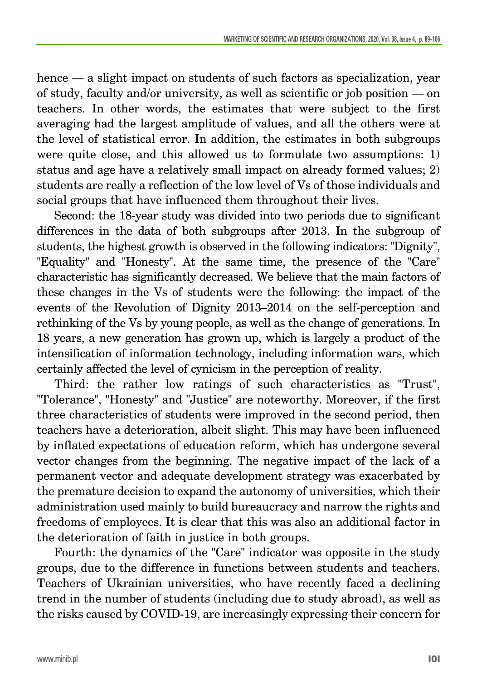hence — a slight impact on students of such factors as specialization, year of study, faculty and/or university, as well as scientific or job position — on teachers. In other words, the estimates that were subject to the first averaging had the largest amplitude of values, and all the others were at the level of statistical error. In addition, the estimates in both subgroups were quite close, and this allowed us to formulate two assumptions: 1) status and age have a relatively small impact on already formed values; 2) students are really a reflection of the low level of Vs of those individuals and social groups that have influenced them throughout their lives.

Second: the 18-year study was divided into two periods due to significant differences in the data of both subgroups after 2013. In the subgroup of students, the highest growth is observed in the following indicators: "Dignity", "Equality" and "Honesty". At the same time, the presence of the "Care" characteristic has significantly decreased. We believe that the main factors of these changes in the Vs of students were the following: the impact of the events of the Revolution of Dignity 2013–2014 on the self-perception and rethinking of the Vs by young people, as well as the change of generations. In 18 years, a new generation has grown up, which is largely a product of the intensification of information technology, including information wars, which certainly affected the level of cynicism in the perception of reality.

Third: the rather low ratings of such characteristics as "Trust", "Tolerance", "Honesty" and "Justice" are noteworthy. Moreover, if the first three characteristics of students were improved in the second period, then teachers have a deterioration, albeit slight. This may have been influenced by inflated expectations of education reform, which has undergone several vector changes from the beginning. The negative impact of the lack of a permanent vector and adequate development strategy was exacerbated by the premature decision to expand the autonomy of universities, which their administration used mainly to build bureaucracy and narrow the rights and freedoms of employees. It is clear that this was also an additional factor in the deterioration of faith in justice in both groups.

Fourth: the dynamics of the "Care" indicator was opposite in the study groups, due to the difference in functions between students and teachers. Teachers of Ukrainian universities, who have recently faced a declining trend in the number of students (including due to study abroad), as well as the risks caused by COVID-19, are increasingly expressing their concern for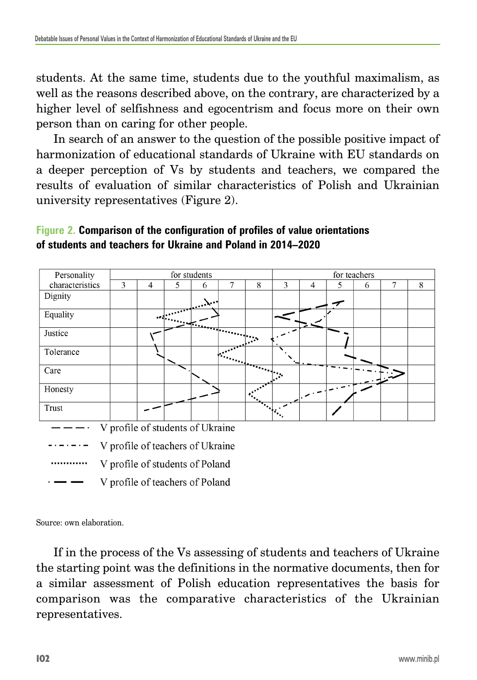students. At the same time, students due to the youthful maximalism, as well as the reasons described above, on the contrary, are characterized by a higher level of selfishness and egocentrism and focus more on their own person than on caring for other people.

In search of an answer to the question of the possible positive impact of harmonization of educational standards of Ukraine with EU standards on a deeper perception of Vs by students and teachers, we compared the results of evaluation of similar characteristics of Polish and Ukrainian university representatives (Figure 2).





Source: own elaboration.

If in the process of the Vs assessing of students and teachers of Ukraine the starting point was the definitions in the normative documents, then for a similar assessment of Polish education representatives the basis for comparison was the comparative characteristics of the Ukrainian representatives.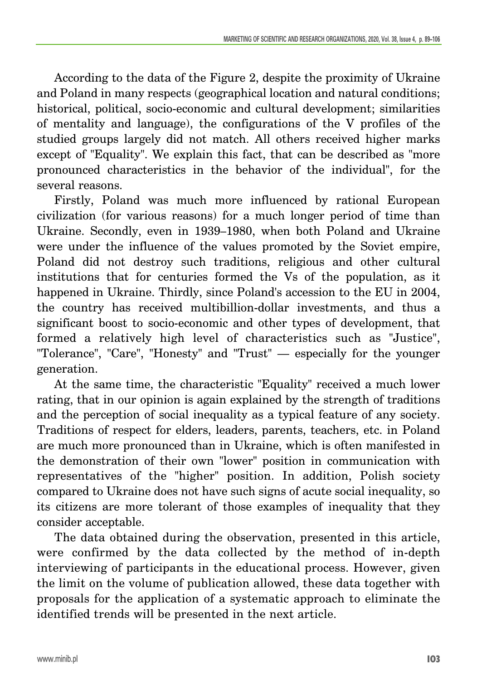According to the data of the Figure 2, despite the proximity of Ukraine and Poland in many respects (geographical location and natural conditions; historical, political, socio-economic and cultural development; similarities of mentality and language), the configurations of the V profiles of the studied groups largely did not match. All others received higher marks except of "Equality". We explain this fact, that can be described as "more pronounced characteristics in the behavior of the individual", for the several reasons.

Firstly, Poland was much more influenced by rational European civilization (for various reasons) for a much longer period of time than Ukraine. Secondly, even in 1939–1980, when both Poland and Ukraine were under the influence of the values promoted by the Soviet empire, Poland did not destroy such traditions, religious and other cultural institutions that for centuries formed the Vs of the population, as it happened in Ukraine. Thirdly, since Poland's accession to the EU in 2004, the country has received multibillion-dollar investments, and thus a significant boost to socio-economic and other types of development, that formed a relatively high level of characteristics such as "Justice", "Tolerance", "Care", "Honesty" and "Trust" — especially for the younger generation.

At the same time, the characteristic "Equality" received a much lower rating, that in our opinion is again explained by the strength of traditions and the perception of social inequality as a typical feature of any society. Traditions of respect for elders, leaders, parents, teachers, etc. in Poland are much more pronounced than in Ukraine, which is often manifested in the demonstration of their own "lower" position in communication with representatives of the "higher" position. In addition, Polish society compared to Ukraine does not have such signs of acute social inequality, so its citizens are more tolerant of those examples of inequality that they consider acceptable.

The data obtained during the observation, presented in this article, were confirmed by the data collected by the method of in-depth interviewing of participants in the educational process. However, given the limit on the volume of publication allowed, these data together with proposals for the application of a systematic approach to eliminate the identified trends will be presented in the next article.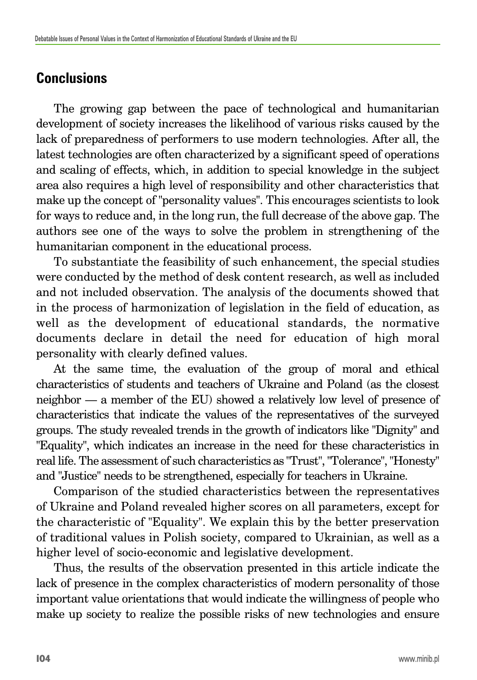# **Conclusions**

The growing gap between the pace of technological and humanitarian development of society increases the likelihood of various risks caused by the lack of preparedness of performers to use modern technologies. After all, the latest technologies are often characterized by a significant speed of operations and scaling of effects, which, in addition to special knowledge in the subject area also requires a high level of responsibility and other characteristics that make up the concept of "personality values". This encourages scientists to look for ways to reduce and, in the long run, the full decrease of the above gap. The authors see one of the ways to solve the problem in strengthening of the humanitarian component in the educational process.

To substantiate the feasibility of such enhancement, the special studies were conducted by the method of desk content research, as well as included and not included observation. The analysis of the documents showed that in the process of harmonization of legislation in the field of education, as well as the development of educational standards, the normative documents declare in detail the need for education of high moral personality with clearly defined values.

At the same time, the evaluation of the group of moral and ethical characteristics of students and teachers of Ukraine and Poland (as the closest neighbor — a member of the EU) showed a relatively low level of presence of characteristics that indicate the values of the representatives of the surveyed groups. The study revealed trends in the growth of indicators like "Dignity" and "Equality", which indicates an increase in the need for these characteristics in real life. The assessment of such characteristics as "Trust", "Tolerance", "Honesty" and "Justice" needs to be strengthened, especially for teachers in Ukraine.

Comparison of the studied characteristics between the representatives of Ukraine and Poland revealed higher scores on all parameters, except for the characteristic of "Equality". We explain this by the better preservation of traditional values in Polish society, compared to Ukrainian, as well as a higher level of socio-economic and legislative development.

Thus, the results of the observation presented in this article indicate the lack of presence in the complex characteristics of modern personality of those important value orientations that would indicate the willingness of people who make up society to realize the possible risks of new technologies and ensure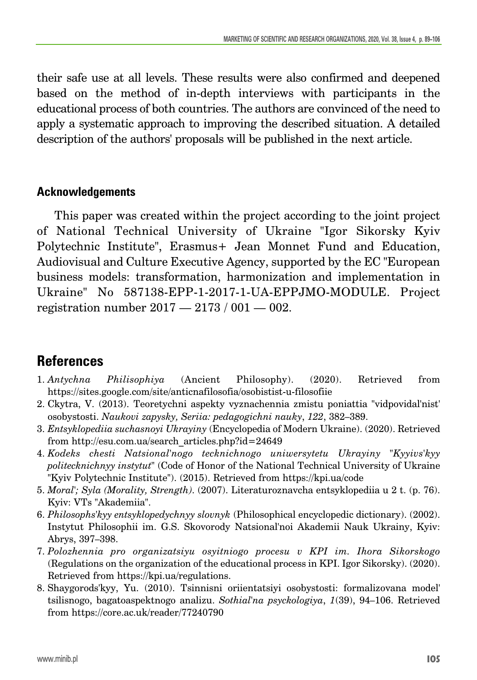their safe use at all levels. These results were also confirmed and deepened based on the method of in-depth interviews with participants in the educational process of both countries. The authors are convinced of the need to apply a systematic approach to improving the described situation. A detailed description of the authors' proposals will be published in the next article.

#### **Acknowledgements**

This paper was created within the project according to the joint project of National Technical University of Ukraine "Igor Sikorsky Kyiv Polytechnic Institute", Erasmus+ Jean Monnet Fund and Education, Audiovisual and Culture Executive Agency, supported by the EC "European business models: transformation, harmonization and implementation in Ukraine" No 587138-EPP-1-2017-1-UA-EPPJMO-MODULE. Project registration number 2017 — 2173 / 001 — 002.

# **References**

- 1. *Antychna Philisophiya* (Ancient Philosophy). (2020). Retrieved from https://sites.google.com/site/anticnafilosofia/osobistist-u-filosofiie
- 2. Ckytra, V. (2013). Teoretychni aspekty vyznachennia zmistu poniattia "vidpovidal'nist' osobystosti. *Naukovi zapysky, Seriia: pedagogichni nauky*, *122*, 382–389.
- 3. *Entsyklopediia suchasnoyi Ukrayiny* (Encyclopedia of Modern Ukraine). (2020). Retrieved from http://esu.com.ua/search\_articles.php?id=24649
- 4. *Kodeks chesti Natsional'nogo tecknichnogo uniwersytetu Ukrayiny "Kyyivs'kyy politecknichnyy instytut"* (Code of Honor of the National Technical University of Ukraine "Kyiv Polytechnic Institute"). (2015). Retrieved from https://kpi.ua/code
- 5. *Moral'; Syla (Morality, Strength)*. (2007). Literaturoznavcha entsyklopediia u 2 t. (p. 76). Kyiv: VTs "Akademiia".
- 6. *Philosophs'kyy entsyklopedychnyy slovnyk* (Philosophical encyclopedic dictionary). (2002). Instytut Philosophii im. G.S. Skovorody Natsional'noi Akademii Nauk Ukrainy, Kyiv: Abrys, 397–398.
- 7. *Polozhennia pro organizatsiyu osyitniogo procesu v KPI im. Ihora Sikorskogo* (Regulations on the organization of the educational process in KPI. Igor Sikorsky). (2020). Retrieved from https://kpi.ua/regulations.
- 8. Shaygorods'kyy, Yu. (2010). Tsinnisni oriientatsiyi osobystosti: formalizovana model' tsilisnogo, bagatoaspektnogo analizu. *Sothial'na psyckologiya*, *1*(39), 94–106. Retrieved from https://core.ac.uk/reader/77240790